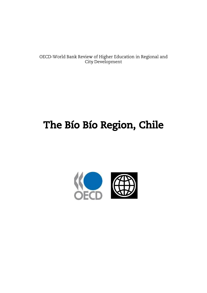OECD-World Bank Review of Higher Education in Regional and<br>City Development

# **The Bío Bío Region, Chile**

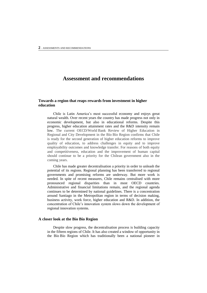# **Assessment and recommendations**

## **Towards a region that reaps rewards from investment in higher education**

Chile is Latin America's most successful economy and enjoys great natural wealth. Over recent years the country has made progress not only in economic development, but also in educational reforms. Despite this progress, higher education attainment rates and the R&D intensity remain low. The current OECD/World Bank Review of Higher Education in Regional and City Development in the Bío Bío Region confirms that Chile is ready for the second generation of higher education reforms to improve quality of education, to address challenges in equity and to improve employability outcomes and knowledge transfer. For reasons of both equity and competitiveness, education and the improvement of human capital should continue to be a priority for the Chilean government also in the coming years.

Chile has made greater decentralisation a priority in order to unleash the potential of its regions. Regional planning has been transferred to regional governments and promising reforms are underway. But more work is needed. In spite of recent measures, Chile remains centralised with more pronounced regional disparities than in most OECD countries. Administrative and financial limitations remain, and the regional agenda continues to be determined by national guidelines. There is a concentration around Santiago in the Metropolitan region in terms of decision making, business activity, work force, higher education and R&D. In addition, the concentration of Chile's innovation system slows down the development of regional innovation systems.

## **A closer look at the Bío Bío Region**

Despite slow progress, the decentralisation process is building capacity in the fifteen regions of Chile. It has also created a window of opportunity in the Bío Bío Region which has traditionally been a national pioneer in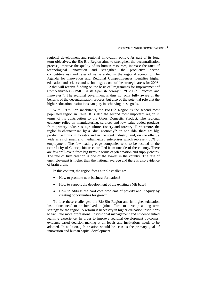regional development and regional innovation policy. As part of its long term objectives, the Bío Bío Region aims to strengthen the decentralisation process, improve the quality of its human resources, increase the rates of technological innovation and strengthen the productive sector, competitiveness and rates of value added in the regional economy. The Agenda for Innovation and Regional Competitiveness identifies higher education and science and technology as one of the strategic areas for 2008- 12 that will receive funding on the basis of Programmes for Improvement of Competitiveness (PMC, in its Spanish acronym, "Bío Bío Educates and Innovates"). The regional government is thus not only fully aware of the benefits of the decentralisation process, but also of the potential role that the higher education institutions can play in achieving these goals.

With 1.9 million inhabitants, the Bío Bío Region is the second most populated region in Chile. It is also the second most important region in terms of its contribution to the Gross Domestic Product. The regional economy relies on manufacturing, services and low value added products from primary industries, agriculture, fishery and forestry. Furthermore, the region is characterised by a "dual economy": on one side, there are big, productive firms in forestry and in the steel industry, and, on the other, a wide array of small and medium-sized enterprises which represent 80% of employment. The few leading edge companies tend to be located in the central city of Concepción or controlled from outside of the country. There are few spill-overs from big firms in terms of job creation and supply chains. The rate of firm creation is one of the lowest in the country. The rate of unemployment is higher than the national average and there is also evidence of brain drain.

In this context, the region faces a triple challenge:

- How to promote new business formation?
- How to support the development of the existing SME base?
- How to address the hard core problems of poverty and inequity by creating opportunities for growth.

To face these challenges, the Bío Bío Region and its higher education institutions need to be involved in joint efforts to develop a long term strategy for the region. A reform is necessary in higher education institutions to facilitate more professional institutional management and student-centred learning experience. In order to improve regional development outcomes, evidence-based decision making at all levels and institutions needs to be adopted. In addition, job creation should be seen as the primary goal of innovation and human capital development.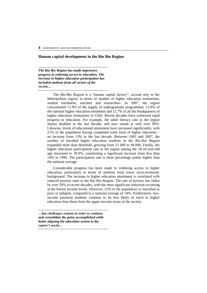#### **Human capital development in the Bío Bío Region**

*The Bío Bío Region has made impressive progress in widening access to education. The increase in higher education participation has included students from all sectors of the society…*

> The Bío Bío Region is a "human capital factory", second only to the Metropolitan region, in terms of number of higher education institutions, student enrolment, teachers and researchers. In 2007, the region concentrated 11.9% of the supply of undergraduate programmes, 12.8% of the national higher education enrolment and 12.7% of all the headquarters of higher education institutions in Chile. Recent decades have witnessed rapid progress in education. For example, the adult literacy rate in the region almost doubled in the last decade, and now stands at well over 90%. Likewise, levels of educational attainment have increased significantly, with 21% of the population having completed some form of higher education – an increase from 13% in the last decade. Between 1983 and 2007, the number of enrolled higher education students in the Bío Bío Region expanded more than threefold, growing from 21 000 to 94 000. Finally, the higher education participation rate in the region among the 18-24 year-old age increased to 39.9%, constituting a significant increase from less than 14% in 1990. The participation rate is three percentage points higher than the national average.

> Considerable progress has been made in widening access to higher education, particularly in terms of students from lower socio-economic background. The increase in higher education attainment is correlated with reduced poverty rates in the Bío Bío Region. The rate of poverty has fallen by over 50% in recent decades, with the most significant reduction occurring at the lowest income levels. However, 21% of the population is classified as poor or indigent, compared to a national average of 14%. Furthermore, lowincome potential students continue to be less likely to enrol in higher education than those from the upper-income strata of the society.

*…but challenges remain in order to continue and consolidate the gains accomplished while better aligning the education system to the region's needs...*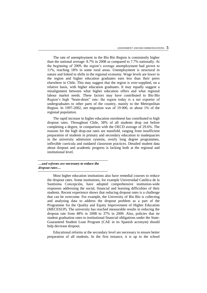The rate of unemployment in the Bío Bío Region is consistently higher than the national average: 8.7% in 2008 as compared to 7.7% nationally. At the beginning of 2009, the region's average unemployment had grown to 11%, reaching 18% in some rural areas. Unemployment is structural in nature and linked to shifts in the regional economy. Wage levels are lower in the region and higher education graduates earn less than their peers elsewhere in Chile. This may suggest that the region is over-supplied, on a relative basis, with higher education graduates. It may equally suggest a misalignment between what higher education offers and what regional labour market needs. These factors may have contributed to Bío Bío Region's high "brain-drain" rate: the region today is a net exporter of undergraduates to other parts of the country, mainly to the Metropolitan Region. In 1997-2002, net migration was of 19 000, or about 1% of the regional population.

The rapid increase in higher education enrolment has contributed to high dropout rates. Throughout Chile, 58% of all students drop out before completing a degree, in comparison with the OECD average of 29.6%. The reasons for the high drop-out rates are manifold, ranging from insufficient preparation of students in primary and secondary education to inadequacies in the university admission systems, overly long degree programmes, inflexible curricula and outdated classroom practices. Detailed student data about dropout and academic progress is lacking both at the regional and institutional level.

#### *…and reforms are necessary to reduce the dropout rates…*

Educational reforms at the secondary level are necessary to ensure better preparation of all students. In the first instance, it is up to the school

Most higher education institutions also have remedial courses to reduce the dropout rates. Some institutions, for example Universidad Católica de la Santísima Concepción, have adopted comprehensive institution-wide responses addressing the social, financial and learning difficulties of their students. Recent experience shows that reducing dropout rates is a challenge that can be overcome. For example, the University of Bío Bío is collecting and analysing data to address the dropout problem as a part of the Programme for the Quality and Equity Improvement of Higher Education (MECESUP). The university has reached measurable results in reducing the dropout rate from 48% in 2008 to 37% in 2009. Also, policies that tie student graduation rates to institutional financial obligations under the State-Guaranteed Student Loan Program (CAE in its Spanish acronym) should help decrease dropout.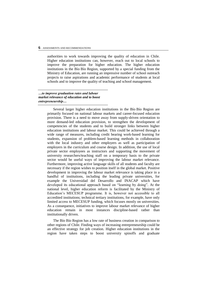authorities to work towards improving the quality of education in Chile. Higher education institutions can, however, reach out to local schools to improve the preparation for higher education. The higher education institutions in the Bío Bío Region, supported by a special funding from the Ministry of Education, are running an impressive number of school outreach projects to raise aspirations and academic performance of students at local schools and to improve the quality of teaching and school management.

#### *…to improve graduation rates and labour market relevance of education and to boost entrepreneurship…*

Several larger higher education institutions in the Bío Bío Region are primarily focused on national labour markets and career-focused education provision. There is a need to move away from supply-driven orientation to more demand-led education provision, to strengthen the development of competencies of the students and to build stronger links between higher education institutions and labour market. This could be achieved through a wide range of measures, including credit bearing work-based learning for students, expansion of problem-based learning methods in collaboration with the local industry and other employers as well as participation of employers in the curriculum and course design. In addition, the use of local private sector employees as instructors and supporting the movement of university researchers/teaching staff on a temporary basis to the private sector would be useful ways of improving the labour market relevance. Furthermore, improving active language skills of all students and faculty are necessary if the region wishes to position itself in the global market. Positive development in improving the labour market relevance is taking place in a handful of institutions, including the leading private universities, for example the Universidad del Desarrollo and INACAP which have developed its educational approach based on "learning by doing". At the national level, higher education reform is facilitated by the Ministry of Education's MECESUP programme. It is, however not accessible to all accredited institutions; technical tertiary institutions, for example, have only limited access to MECESUP funding, which focuses mostly on universities. As a consequence, initiatives to improve labour market relevance of higher education remain in most instances discipline-based rather than institutionally driven.

The Bío Bío Region has a low rate of business creation in comparison to other regions of Chile. Finding ways of increasing entrepreneurship could be an effective strategy for job creation. Higher education institutions in the region have taken steps to boost university spinoffs and graduate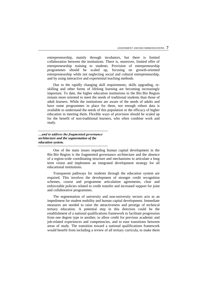entrepreneurship, mainly through incubators, but there is limited collaboration between the institutions. There is, moreover, limited offer of entrepreneurship training to students. Provision of entrepreneurship programmes should be scaled up, focusing on growth-oriented entrepreneurship while not neglecting social and cultural entrepreneurship, and by using interactive and experiential teaching methods.

Due to the rapidly changing skill requirements, skills upgrading, reskilling and other forms of lifelong learning are becoming increasingly important. To date, the higher education institutions in the Bío Bío Region remain more oriented to meet the needs of traditional students than those of adult learners. While the institutions are aware of the needs of adults and have some programmes in place for them, not enough robust data is available to understand the needs of this population or the efficacy of higher education in meeting them. Flexible ways of provision should be scaled up for the benefit of non-traditional learners, who often combine work and study.

*…and to address the fragmented governance architecture and the segmentation of the education system.*

> One of the main issues impeding human capital development in the Bío Bío Region is the fragmented governance architecture and the absence of a region-wide coordinating structure and mechanisms to articulate a long term vision and implement an integrated development strategy for all educational institutions.

> Transparent pathways for students through the education system are required. This involves the development of stronger credit recognition schemes, course and programme articulation agreements, clear and enforceable policies related to credit transfer and increased support for joint and collaborative programmes.

> The segmentation of university and non-university sectors acts as an impediment for student mobility and human capital development. Immediate measures are needed to raise the attractiveness and prestige of technical tertiary education. A potential step in this direction could be the establishment of a national qualifications framework to facilitate progression from one degree type to another, to allow credit for previous academic and job-related experiences and competencies, and to ease transitions between areas of study. The transition toward a national qualifications framework would benefit from including a review of all tertiary curricula, to make them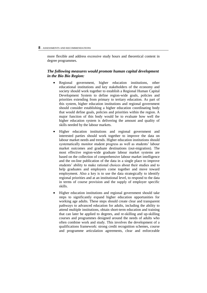more flexible and address excessive study hours and theoretical content in degree programmes.

# *The following measures would promote human capital development in the Bío Bío Region:*

- Regional government, higher education institutions, other educational institutions and key stakeholders of the economy and society should work together to establish a Regional Human Capital Development System to define region-wide goals, policies and priorities extending from primary to tertiary education. As part of this system, higher education institutions and regional government should consider establishing a higher education coordinating body that would define goals, policies and priorities within the region. A major function of this body would be to evaluate how well the higher education system is delivering the amount and quality of skills needed by the labour markets.
- Higher education institutions and regional government and interested parties should work together to improve the data on labour market needs and trends. Higher education institutions should systematically monitor student progress as well as students' labour market outcomes and graduate destinations (out-migration). The most effective region-wide graduate labour market systems are based on the collection of comprehensive labour market intelligence and the on-line publication of the data in a single place to improve students' ability to make rational choices about their studies and to help graduates and employers come together and move toward employment. Also a key is to use the data strategically to identify regional priorities and at an institutional level, to respond to the data in terms of course provision and the supply of employer specific skills.
- Higher education institutions and regional government should take steps to significantly expand higher education opportunities for working age adults. These steps should create clear and transparent pathways to advanced education for adults, including the ability to attend multiple institutions, obtain short-term education and training that can later be applied to degrees, and re-skilling and up-skilling courses and programmes designed around the needs of adults who often combine work and study. This involves the development of a qualifications framework: strong credit recognition schemes, course and programme articulation agreements, clear and enforceable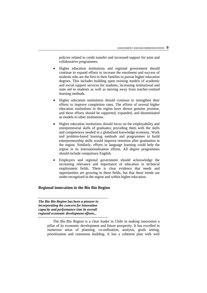policies related to credit transfer and increased support for joint and collaborative programmes.

- Higher education institutions and regional government should continue to expand efforts to increase the enrolment and success of students who are the first in their families to pursue higher education degrees. This includes building upon existing models of academic and social support services for students, increasing institutional and state aid to students as well as moving away from teacher-centred learning methods.
- Higher education institutions should continue to strengthen their efforts to improve completion rates. The efforts of several higher education institutions in the region have shown genuine promise, and these efforts should be supported, expanded, and disseminated as models to other institutions.
- Higher education institutions should focus on the employability and entrepreneurial skills of graduates; providing them with the skills and competences needed in a globalised knowledge economy. Work and problem-based learning methods and programmes to build entrepreneurship skills would improve retention after graduation in the region. Similarly, efforts in language learning could help the region in its internationalisation efforts. All degree programmes should include compulsory English.
- Employers and regional government should acknowledge the increasing relevance and importance of education in technical employment fields. There is clear evidence that needs and opportunities are growing in these fields, but that these trends are under-recognised in the region and within higher education.

#### **Regional innovation in the Bío Bío Region**

*The Bío Bio Region has been a pioneer in incorporating the concern for innovation capacity and performance into its overall regional economic development efforts...*

> The Bío Bío Region is a clear leader in Chile in making innovation a pillar of its economic development and future prosperity. It has excelled in numerous areas of planning, co-ordination, analysis, goals setting, prioritisation and consensus building. It has a coherent plan with well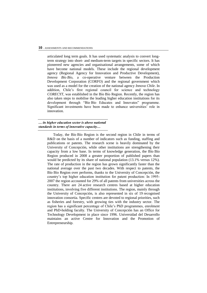articulated long term goals. It has used systematic analysis to convert longterm strategy into short- and medium-term targets in specific sectors. It has pioneered new agencies and organisational arrangements, some of which have become national models. These include the regional development agency (Regional Agency for Innovation and Productive Development), *Innova Bío Bío*, a co-operative venture between the Production Development Corporation (CORFO) and the regional government which was used as a model for the creation of the national agency *Innova Chile*. In addition, Chile's first regional council for science and technology *CORECYT*, was established in the Bío Bío Region. Recently, the region has also taken steps to mobilise the leading higher education institutions for its development through "Bío Bío Educates and Innovates" programme. Significant investments have been made to enhance universities' role in innovation.

#### *… its higher education sector is above national standards in terms of innovative capacity…*

Today, the Bío Bío Region is the second region in Chile in terms of R&D on the basis of a number of indicators such as funding, staffing and publications or patents. The research scene is heavily dominated by the University of Concepción, while other institutions are strengthening their capacity from a low base. In terms of knowledge generation, the Bío Bío Region produced in 2008 a greater proportion of published papers than would be predicted by its share of national population (13.1% versus 12%). The rate of production in the region has grown significantly faster than the national average over the past two decades. With respect to patents, the Bío Bío Region over performs, thanks to the University of Concepción, the country's top higher education institution for patent production: In 1995- 2007 the region accounted for 29% of all patents from universities across the country. There are 24 active research centres based at higher education institutions, involving five different institutions. The region, mainly through the University of Concepción, is also represented in six of 19 recognised innovation consortia. Specific centres are devoted to regional priorities, such as fisheries and forestry, with growing ties with the industry sector. The region has a significant percentage of Chile's PhD programmes, enrolment and PhD-holding faculty. The University of Concepción has an Office for Technology Development in place since 1996. Universidad del Desarrollo maintains an active Centre for Innovation and the Promotion of Entrepreneurship.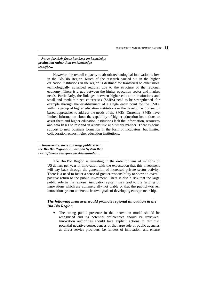#### *…but so far their focus has been on knowledge production rather than on knowledge transfer…*

However, the overall capacity to absorb technological innovation is low in the Bío Bío Region. Much of the research carried out in the higher education institutions in the region is destined for transferral to other more technologically advanced regions, due to the structure of the regional economy. There is a gap between the higher education sector and market needs. Particularly, the linkages between higher education institutions and small and medium sized enterprises (SMEs) need to be strengthened, for example through the establishment of a single entry point for the SMEs within a group of higher education institutions or the development of sector based approaches to address the needs of the SMEs. Currently, SMEs have limited information about the capability of higher education institutions to assist them and higher education institutions lack the information, resources and data bases to respond in a sensitive and timely manner. There is some support to new business formation in the form of incubators, but limited collaboration across higher education institutions.

#### *…furthermore, there is a large public role in the Bío Bío Regional Innovation System that can influence entrepreneurship attitudes…*

The Bío Bío Region is investing in the order of tens of millions of US dollars per year in innovation with the expectation that this investment will pay back through the generation of increased private sector activity. There is a need to foster a sense of greater responsibility to show an overall positive return to the public investment. There is also a risk that the large public role in the regional innovation system may lead to the funding of innovations which are commercially not viable or that the publicly-driven innovation system undercuts its own goals of developing entrepreneurship.

# *The following measures would promote regional innovation in the Bío Bío Region*

 The strong public presence in the innovation model should be recognised and its potential deficiencies should be reviewed. Innovation authorities should take explicit actions to diminish potential negative consequences of the large role of public agencies as direct service providers, i.e. funders of innovation, and ensure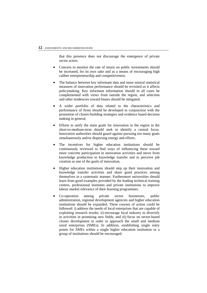that this presence does not discourage the emergence of private sector actors.

- Concern to monitor the rate of return on public investments should be increased, for its own sake and as a means of encouraging high calibre entrepreneurship and competitiveness.
- The balance between key informant data and more neutral statistical measures of innovation performance should be revisited as it affects policymaking. Key informant information should in all cases be complemented with views from outside the region, and selection and other tendencies toward biases should be mitigated.
- A wider portfolio of data related to the characteristics and performance of firms should be developed in conjunction with the promotion of cluster-building strategies and evidence based decision making in general.
- Efforts to unify the main goals for innovation in the region in the short-to-medium-term should seek to identify a central focus. Innovation authorities should guard against pursuing too many goals simultaneously and/or dispersing energy and efforts.
- The incentives for higher education institutions should be continuously reviewed to find ways of influencing these toward more concrete participation in innovation activities and move from knowledge production to knowledge transfer and to perceive job creation as one of the goals of innovation.
- Higher education institutions should step up their innovation and knowledge transfer activities and share good practices among themselves in a systematic manner. Furthermore universities should learn from good examples provided by the leading technical training centres, professional institutes and private institutions to improve labour market relevance of their learning programmes.
- Co-operation among private sector businesses, public administration, regional development agencies and higher education institutions should be expanded. Three courses of action could be followed: i) address the needs of local enterprises that are capable of exploiting research results; ii) encourage local industry to diversify in activities in promising new fields; and iii) focus on sector-based cluster development in order to approach the small and medium sized enterprises (SMEs). In addition, establishing single entry points for SMEs within a single higher education institution or a group of institutions should be encouraged.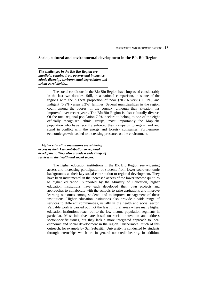#### **Social, cultural and environmental development in the Bío Bío Region**

*The challenges in the Bío Bío Region are manifold, ranging from poverty and indigence, ethnic diversity, environmental degradation and urban-rural divide…* 

> The social conditions in the Bío Bío Region have improved considerably in the last two decades. Still, in a national comparison, it is one of the regions with the highest proportion of poor (20.7% versus 13.7%) and indigent (5.2% versus 3.2%) families. Several municipalities in the region count among the poorest in the country, although their situation has improved over recent years. The Bío Bío Region is also culturally diverse. Of the total regional population 7.8% declare to belong to one of the eight officially recognised ethnic groups, most importantly the Mapuche population who have recently enforced their campaign to regain land and stand in conflict with the energy and forestry companies. Furthermore, economic growth has led to increasing pressures on the environment.

*…higher education institutions see widening access as their key contribution to regional development. They also provide a wide range of services in the health and social sector.*

> The higher education institutions in the Bío Bío Region see widening access and increasing participation of students from lower socio-economic backgrounds as their key social contribution to regional development. They have been instrumental in the increased access of the lower income quintiles to higher education. Supported by the Ministry of Education, higher education institutions have each developed their own projects and approaches to collaborate with the schools to raise aspirations and improve learning outcomes among students and to improve management of these institutions. Higher education institutions also provide a wide range of services to different communities, usually in the health and social sector. Valuable work is carried out, not the least in rural areas where many higher education institutions reach out to the low income population segments in particular. Most initiatives are based on social innovation and address sector-specific issues, but they lack a more integrated approach to local economic and social development in the region. Furthermore, much of this outreach, for example by San Sebastián University, is conducted by students through internships which are in general not credit bearing. In addition,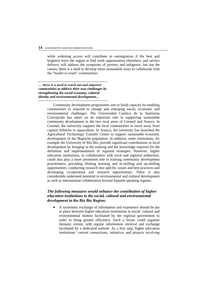while widening access will contribute to outmigration if the best and brightest leave the region to find work opportunities elsewhere, and service delivery will address the symptoms of poverty and indigence, but not the causes, there is a need to develop more sustainable ways to collaborate with the "harder to reach" communities.

*… there is a need to reach out and empower communities to address their own challenges by strengthening the social economy, cultural identity and environmental development...* 

> Community development programmes aim to build capacity by enabling communities to respond to change and emerging social, economic and environmental challenges. The Universidad Católica de la Santísima Concepción has taken on an important role in supporting sustainable community development in the two rural areas of Coronel and Arauco. In Coronel, the university supports the local communities to move away from capture fisheries to aquaculture. In Arauco, the university has launched the Agricultural Technology Transfer Centre to support sustainable economic development of the Mapuche population. In addition, some institutions, for example the University of Bío Bío, provide significant contributions to local development by bringing in the training and the knowledge required for the definition and implementation of regional strategies. However, higher education institutions, in collaboration with local and regional authorities, could also play a more prominent role in training community development practitioners, providing lifelong learning and re-skilling and up-skilling opportunities, conducting research into specific issues and best practices and developing co-operation and research opportunities. There is also considerable underused potential in environmental and cultural development as well as international collaboration beyond Spanish speaking regions.

# *The following measures would enhance the contribution of higher education institutions to the social, cultural and environmental development in the Bío Bío Region:*

 A systematic exchange of information and experience should be put in place between higher education institutions in social, cultural and environmental matters facilitated by the regional government in order to bring greater efficiency. Such a forum could organise thematic events, with regular information retrieval and exchange facilitated by a dedicated website. As a first step, higher education institutions' current connections, initiatives and projects involving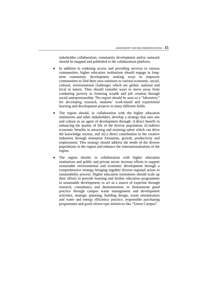stakeholder collaboration, community development and/or outreach should be mapped and published in the collaboration platform.

- In addition to widening access and providing services to various communities, higher education institutions should engage in longterm community development seeking ways to empower communities to find their own solutions to various economic, social, cultural, environmental challenges which are global, national and local in nature. They should consider ways to move away from combating poverty to fostering wealth and job creation through social entrepreneurship. The region should be seen as a "laboratory" for developing research, students' work-based and experiential learning and development projects in many different fields.
- The region should, in collaboration with the higher education institutions and other stakeholders, develop a strategy that sees arts and culture as an agent of development through: i) direct benefit in enhancing the quality of life of the diverse population; ii) indirect economic benefits in attracting and retaining talent which can drive the knowledge society, and iii) a direct contribution to the creative industries through enterprise formation, growth, productivity and employment. This strategy should address the needs of the diverse populations in the region and enhance the internationalisation of the region.
- The region should, in collaboration with higher education institutions and public and private sector increase efforts to support sustainable environmental and economic development through a comprehensive strategy bringing together diverse regional actors to sustainability process. Higher education institutions should scale up their efforts to provide learning and further education programmes in sustainable development; to act as a source of expertise through research, consultancy and demonstration; to demonstrate good practice through campus waste management and development activities, strategic planning, building design, waste minimisation and water and energy efficiency practice, responsible purchasing programmes and good citizen type initiatives like "Green Campus".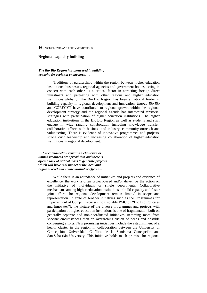#### **Regional capacity building**

#### *The Bío Bío Region has pioneered in building capacity for regional engagement…*

Traditions of partnerships within the region between higher education institutions, businesses, regional agencies and government bodies, acting in concert with each other, is a critical factor in attracting foreign direct investment and partnering with other regions and higher education institutions globally. The Bío Bío Region has been a national leader in building capacity in regional development and innovation. *Innova Bío Bío* and CORECYT have contributed to regional growth within the regional development strategy and the regional agenda has interpreted territorial strategies with participation of higher education institutions. The higher education institutions in the Bío Bío Region as well as students and staff engage in wide ranging collaboration including knowledge transfer, collaborative efforts with business and industry, community outreach and volunteering. There is evidence of innovative programmes and projects, strong civic leadership and increasing collaboration of higher education institutions in regional development.

*… but collaboration remains a challenge as limited resources are spread thin and there is often a lack of critical mass to generate projects which will have real impact at the local and regional level and create multiplier effects…*

> While there is an abundance of initiatives and projects and evidence of excellence, the work is often project-based and/or driven by the action on the initiative of individuals or single departments. Collaborative mechanisms among higher education institutions to build capacity and foster joint efforts for regional development remain limited in scope and representation. In spite of broader initiatives such as the Programmes for Improvement of Competitiveness (most notably PMC on "Bío Bío Educates and Innovates"), the picture of the diverse programmes and projects with participation of higher education institutions is one of fragmentation built on generally separate and non-coordinated initiatives stemming more from specific circumstances than an overarching vision of needs and possible converging efforts. New promising initiatives include the establishment of a health cluster in the region in collaboration between the University of Concepción, Universidad Católica de la Santísima Concepción and San Sebastián University. This initiative holds much promise for regional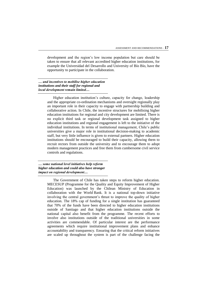development and the region's low income population but care should be taken to ensure that all relevant accredited higher education institutions, for example the Universidad del Desarrollo and University of Bío Bío, have the opportunity to participate in the collaboration.

#### *… and incentives to mobilise higher education institutions and their staff for regional and local development remain limited…*

Higher education institution's culture, capacity for change, leadership and the appropriate co-ordination mechanisms and oversight regionally play an important role in their capacity to engage with partnership building and collaborative action. In Chile, the incentive structures for mobilising higher education institutions for regional and city development are limited. There is no explicit third task or regional development task assigned to higher education institutions and regional engagement is left to the initiative of the individual institutions. In terms of institutional management, Chile's public universities give a major role in institutional decision-making to academic staff, but very little influence is given to external partners. Higher education institutions should be encouraged to build their capacity, allowing them to recruit rectors from outside the university and to encourage them to adopt modern management practices and free them from cumbersome civil service controls and regulations.

*… some national level initiatives help reform higher education and could also have stronger impact on regional development…*

> The Government of Chile has taken steps to reform higher education. MECESUP (Programme for the Quality and Equity Improvement of Higher Education) was launched by the Chilean Ministry of Education in collaboration with the World Bank. It is a national top-down initiative involving the central government's thrust to improve the quality of higher education. The 18% cap of funding for a single institution has guaranteed that 70% of the funds have been directed to higher education institutions outside of Santiago and that higher education institutions outside the national capital also benefit from the programme. The recent efforts to involve also institutions outside of the traditional universities in some activities are commendable. Of particular interest are the performance agreements which require institutional improvement plans and enhance accountability and transparency. Ensuring that the critical reform initiatives are scaled up throughout the system is part of the challenge facing the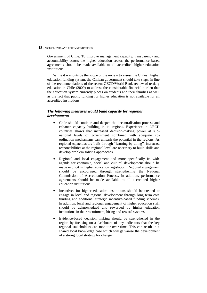Government of Chile. To improve management capacity, transparency and accountability across the higher education sector, the performance based agreements should be made available to all accredited higher education institutions.

While it was outside the scope of the review to assess the Chilean higher education funding system, the Chilean government should take steps, in line of the recommendations of the recent OECD/World Bank review of tertiary education in Chile (2009) to address the considerable financial burden that the education system currently places on students and their families as well as the fact that public funding for higher education is not available for all accredited institutions.

# *The following measures would build capacity for regional development:*

- Chile should continue and deepen the decentralisation process and enhance capacity building in its regions. Experience in OECD countries shows that increased decision-making power at subnational levels of government combined with adequate coordination mechanisms can unleash the potential in the regions. As regional capacities are built through "learning by doing", increased responsibilities at the regional level are necessary to build skills and develop problem solving approaches.
- Regional and local engagement and more specifically its wide agenda for economic, social and cultural development should be made explicit in higher education legislation. Regional engagement should be encouraged through strengthening the National Commission of Accreditation Process. In addition, performance agreements should be made available to all accredited higher education institutions.
- Incentives for higher education institutions should be created to engage in local and regional development through long term core funding and additional strategic incentive-based funding schemes. In addition, local and regional engagement of higher education staff should be acknowledged and rewarded by higher education institutions in their recruitment, hiring and reward systems.
- Evidence-based decision making should be strengthened in the region by focusing on a dashboard of key indicators that the key regional stakeholders can monitor over time. This can result in a shared local knowledge base which will galvanise the development of a strong local strategy for change.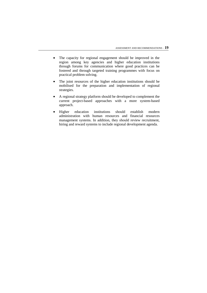- The capacity for regional engagement should be improved in the region among key agencies and higher education institutions through forums for communication where good practices can be fostered and through targeted training programmes with focus on practical problem solving.
- The joint resources of the higher education institutions should be mobilised for the preparation and implementation of regional strategies.
- A regional strategy platform should be developed to complement the current project-based approaches with a more system-based approach.
- Higher education institutions should establish modern administration with human resources and financial resources management systems. In addition, they should review recruitment, hiring and reward systems to include regional development agenda.